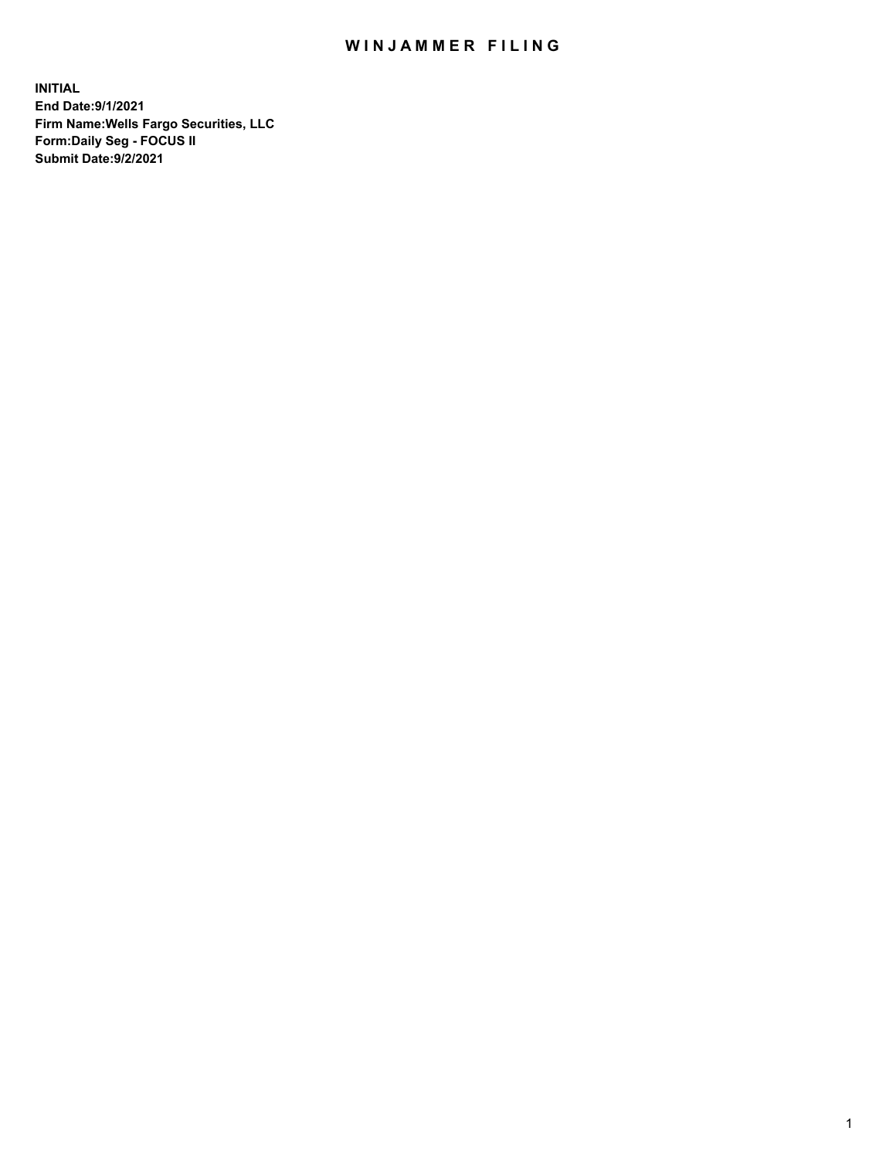## WIN JAMMER FILING

**INITIAL End Date:9/1/2021 Firm Name:Wells Fargo Securities, LLC Form:Daily Seg - FOCUS II Submit Date:9/2/2021**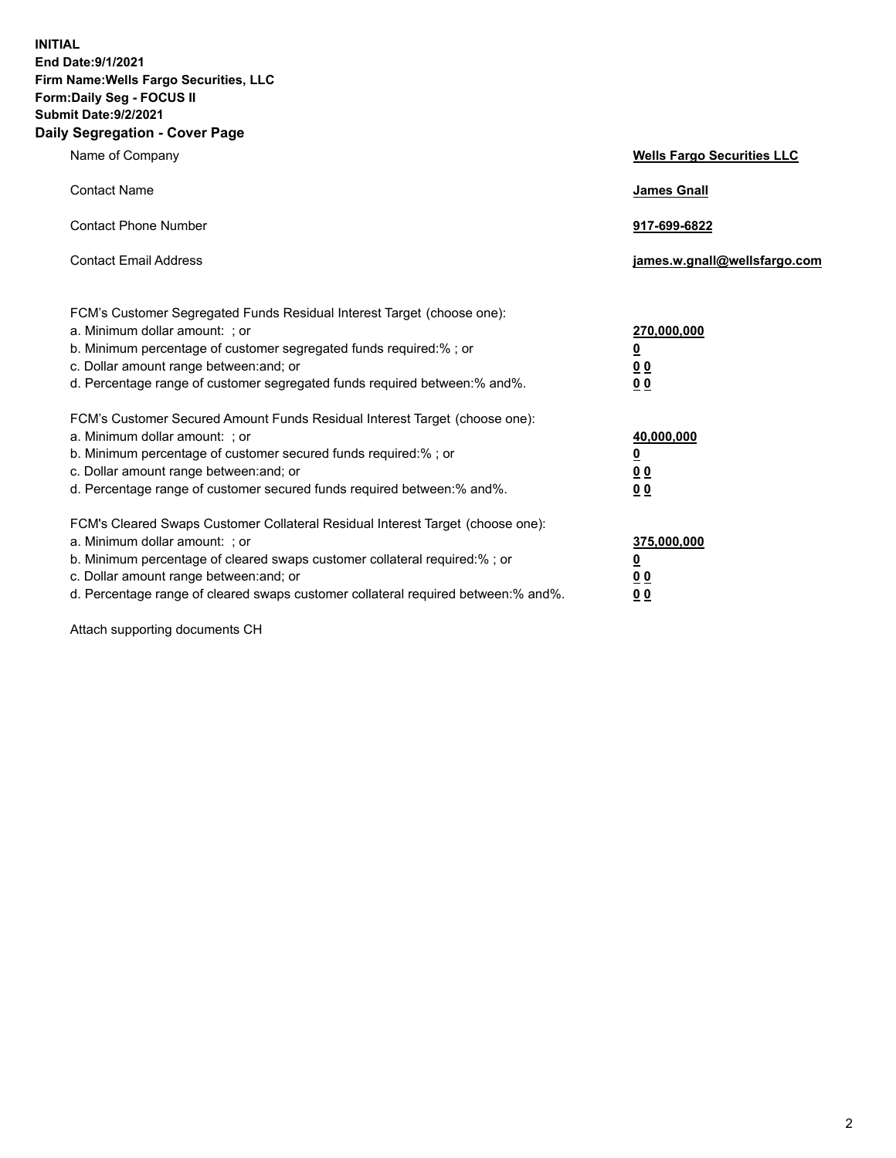**INITIAL End Date:9/1/2021 Firm Name:Wells Fargo Securities, LLC Form:Daily Seg - FOCUS II Submit Date:9/2/2021 Daily Segregation - Cover Page**

| Name of Company                                                                                                                                                                                                                                                                                                               | <b>Wells Fargo Securities LLC</b>                          |
|-------------------------------------------------------------------------------------------------------------------------------------------------------------------------------------------------------------------------------------------------------------------------------------------------------------------------------|------------------------------------------------------------|
| <b>Contact Name</b>                                                                                                                                                                                                                                                                                                           | <b>James Gnall</b>                                         |
| <b>Contact Phone Number</b>                                                                                                                                                                                                                                                                                                   | 917-699-6822                                               |
| <b>Contact Email Address</b>                                                                                                                                                                                                                                                                                                  | james.w.gnall@wellsfargo.com                               |
| FCM's Customer Segregated Funds Residual Interest Target (choose one):<br>a. Minimum dollar amount: ; or<br>b. Minimum percentage of customer segregated funds required:% ; or<br>c. Dollar amount range between: and; or<br>d. Percentage range of customer segregated funds required between:% and%.                        | 270,000,000<br><u>0</u><br>0 <sub>0</sub><br>00            |
| FCM's Customer Secured Amount Funds Residual Interest Target (choose one):<br>a. Minimum dollar amount: ; or<br>b. Minimum percentage of customer secured funds required:%; or<br>c. Dollar amount range between: and; or<br>d. Percentage range of customer secured funds required between: % and %.                         | 40,000,000<br><u>0</u><br>0 <sub>0</sub><br>0 <sub>0</sub> |
| FCM's Cleared Swaps Customer Collateral Residual Interest Target (choose one):<br>a. Minimum dollar amount: ; or<br>b. Minimum percentage of cleared swaps customer collateral required:%; or<br>c. Dollar amount range between: and; or<br>d. Percentage range of cleared swaps customer collateral required between:% and%. | 375,000,000<br><u>0</u><br>00<br>00                        |

Attach supporting documents CH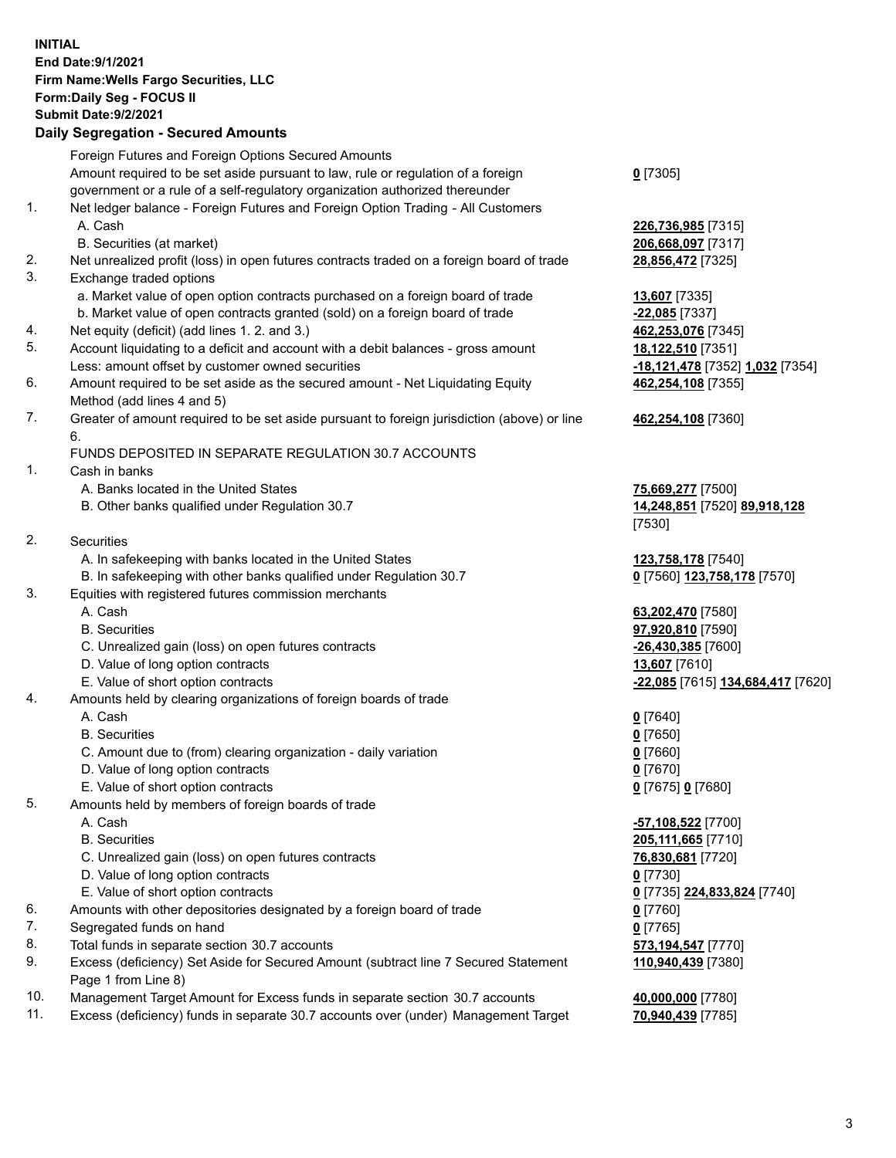**INITIAL End Date:9/1/2021 Firm Name:Wells Fargo Securities, LLC Form:Daily Seg - FOCUS II Submit Date:9/2/2021 Daily Segregation - Secured Amounts**

Foreign Futures and Foreign Options Secured Amounts Amount required to be set aside pursuant to law, rule or regulation of a foreign government or a rule of a self-regulatory organization authorized thereunder 1. Net ledger balance - Foreign Futures and Foreign Option Trading - All Customers A. Cash **226,736,985** [7315] B. Securities (at market) **206,668,097** [7317] 2. Net unrealized profit (loss) in open futures contracts traded on a foreign board of trade **28,856,472** [7325] 3. Exchange traded options a. Market value of open option contracts purchased on a foreign board of trade **13,607** [7335] b. Market value of open contracts granted (sold) on a foreign board of trade **-22,085** [7337] 4. Net equity (deficit) (add lines 1. 2. and 3.) **462,253,076** [7345] 5. Account liquidating to a deficit and account with a debit balances - gross amount **18,122,510** [7351] Less: amount offset by customer owned securities **-18,121,478** [7352] **1,032** [7354] 6. Amount required to be set aside as the secured amount - Net Liquidating Equity Method (add lines 4 and 5) 7. Greater of amount required to be set aside pursuant to foreign jurisdiction (above) or line 6. FUNDS DEPOSITED IN SEPARATE REGULATION 30.7 ACCOUNTS 1. Cash in banks A. Banks located in the United States **75,669,277** [7500]

B. Other banks qualified under Regulation 30.7 **14,248,851** [7520] **89,918,128**

2. Securities

- A. In safekeeping with banks located in the United States **123,758,178** [7540]
- B. In safekeeping with other banks qualified under Regulation 30.7 **0** [7560] **123,758,178** [7570]
- 3. Equities with registered futures commission merchants
	-
	-
	- C. Unrealized gain (loss) on open futures contracts **-26,430,385** [7600]
	- D. Value of long option contracts **13,607** [7610]
	-
- 4. Amounts held by clearing organizations of foreign boards of trade

## A. Cash **0** [7640]

- B. Securities **0** [7650]
- C. Amount due to (from) clearing organization daily variation **0** [7660]
- D. Value of long option contracts **0** [7670]
- E. Value of short option contracts **0** [7675] **0** [7680]
- 5. Amounts held by members of foreign boards of trade
	-
	-
	- C. Unrealized gain (loss) on open futures contracts **76,830,681** [7720]
	- D. Value of long option contracts **0** [7730]
	- E. Value of short option contracts **0** [7735] **224,833,824** [7740]
- 6. Amounts with other depositories designated by a foreign board of trade **0** [7760]
- 7. Segregated funds on hand **0** [7765]
- 8. Total funds in separate section 30.7 accounts **573,194,547** [7770]
- 9. Excess (deficiency) Set Aside for Secured Amount (subtract line 7 Secured Statement Page 1 from Line 8)
- 10. Management Target Amount for Excess funds in separate section 30.7 accounts **40,000,000** [7780]
- 11. Excess (deficiency) funds in separate 30.7 accounts over (under) Management Target **70,940,439** [7785]

**0** [7305]

**462,254,108** [7355]

## **462,254,108** [7360]

[7530]

 A. Cash **63,202,470** [7580] B. Securities **97,920,810** [7590] E. Value of short option contracts **-22,085** [7615] **134,684,417** [7620]

 A. Cash **-57,108,522** [7700] B. Securities **205,111,665** [7710] **110,940,439** [7380]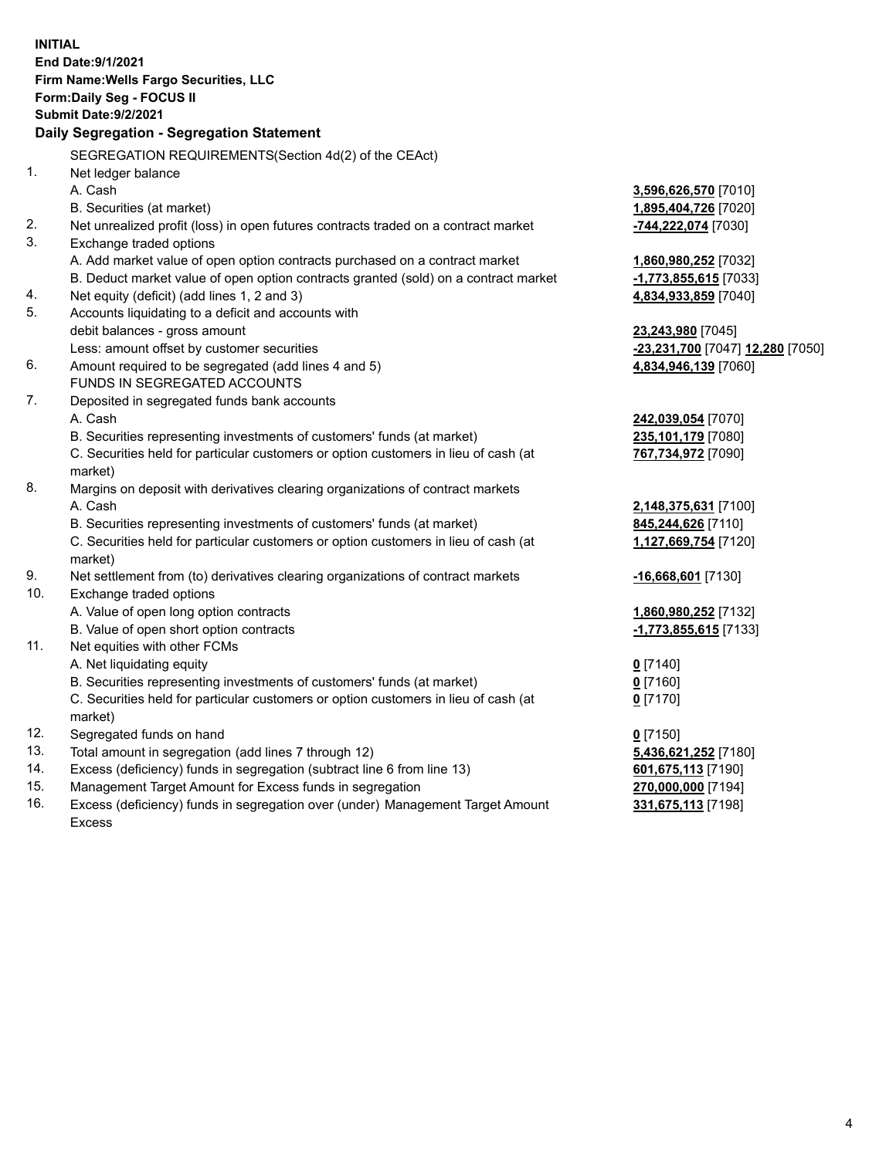|          | <b>INITIAL</b><br>End Date: 9/1/2021<br>Firm Name: Wells Fargo Securities, LLC<br>Form: Daily Seg - FOCUS II<br><b>Submit Date: 9/2/2021</b> |                                                       |
|----------|----------------------------------------------------------------------------------------------------------------------------------------------|-------------------------------------------------------|
|          | Daily Segregation - Segregation Statement                                                                                                    |                                                       |
|          | SEGREGATION REQUIREMENTS(Section 4d(2) of the CEAct)                                                                                         |                                                       |
| 1.       | Net ledger balance                                                                                                                           |                                                       |
|          | A. Cash                                                                                                                                      | 3,596,626,570 [7010]                                  |
|          | B. Securities (at market)                                                                                                                    | 1,895,404,726 [7020]                                  |
| 2.       | Net unrealized profit (loss) in open futures contracts traded on a contract market                                                           | -744,222,074 [7030]                                   |
| 3.       | Exchange traded options                                                                                                                      |                                                       |
|          | A. Add market value of open option contracts purchased on a contract market                                                                  | 1,860,980,252 [7032]                                  |
|          | B. Deduct market value of open option contracts granted (sold) on a contract market                                                          | -1,773,855,615 [7033]                                 |
| 4.<br>5. | Net equity (deficit) (add lines 1, 2 and 3)                                                                                                  | 4,834,933,859 [7040]                                  |
|          | Accounts liquidating to a deficit and accounts with<br>debit balances - gross amount                                                         |                                                       |
|          | Less: amount offset by customer securities                                                                                                   | 23,243,980 [7045]<br>-23,231,700 [7047] 12,280 [7050] |
| 6.       | Amount required to be segregated (add lines 4 and 5)                                                                                         | 4,834,946,139 [7060]                                  |
|          | FUNDS IN SEGREGATED ACCOUNTS                                                                                                                 |                                                       |
| 7.       | Deposited in segregated funds bank accounts                                                                                                  |                                                       |
|          | A. Cash                                                                                                                                      | 242,039,054 [7070]                                    |
|          | B. Securities representing investments of customers' funds (at market)                                                                       | 235,101,179 [7080]                                    |
|          | C. Securities held for particular customers or option customers in lieu of cash (at                                                          | 767,734,972 [7090]                                    |
|          | market)                                                                                                                                      |                                                       |
| 8.       | Margins on deposit with derivatives clearing organizations of contract markets                                                               |                                                       |
|          | A. Cash                                                                                                                                      | 2,148,375,631 [7100]                                  |
|          | B. Securities representing investments of customers' funds (at market)                                                                       | 845,244,626 [7110]                                    |
|          | C. Securities held for particular customers or option customers in lieu of cash (at                                                          | 1,127,669,754 [7120]                                  |
|          | market)                                                                                                                                      |                                                       |
| 9.       | Net settlement from (to) derivatives clearing organizations of contract markets                                                              | -16,668,601 [7130]                                    |
| 10.      | Exchange traded options                                                                                                                      |                                                       |
|          | A. Value of open long option contracts                                                                                                       | 1,860,980,252 [7132]                                  |
|          | B. Value of open short option contracts                                                                                                      | -1,773,855,615 [7133]                                 |
| 11.      | Net equities with other FCMs                                                                                                                 |                                                       |
|          | A. Net liquidating equity                                                                                                                    | $0$ [7140]                                            |
|          | B. Securities representing investments of customers' funds (at market)                                                                       | $0$ [7160]                                            |
|          | C. Securities held for particular customers or option customers in lieu of cash (at                                                          | $0$ [7170]                                            |
|          | market)                                                                                                                                      |                                                       |
| 12.      | Segregated funds on hand                                                                                                                     | $0$ [7150]                                            |
| 13.      | Total amount in segregation (add lines 7 through 12)                                                                                         | 5,436,621,252 [7180]                                  |
| 14.      | Excess (deficiency) funds in segregation (subtract line 6 from line 13)                                                                      | 601,675,113 [7190]                                    |
| 15.      | Management Target Amount for Excess funds in segregation                                                                                     | 270,000,000 [7194]                                    |
| 16.      | Excess (deficiency) funds in segregation over (under) Management Target Amount                                                               | 331,675,113 [7198]                                    |
|          | Excess                                                                                                                                       |                                                       |